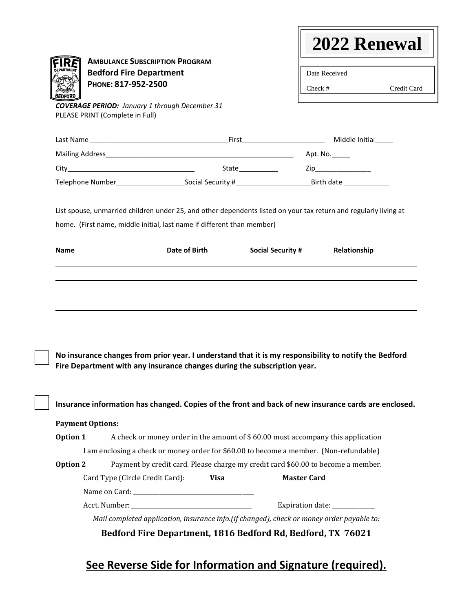|                                                                                                                                                                                                             | <b>AMBULANCE SUBSCRIPTION PROGRAM</b>                                                  |                          |                              |              |
|-------------------------------------------------------------------------------------------------------------------------------------------------------------------------------------------------------------|----------------------------------------------------------------------------------------|--------------------------|------------------------------|--------------|
| <b>EPARTMENT</b><br><b>Bedford Fire Department</b>                                                                                                                                                          |                                                                                        |                          | Date Received                |              |
| PHONE: 817-952-2500                                                                                                                                                                                         |                                                                                        |                          | $Check \#$                   | Credit Card  |
| <b>COVERAGE PERIOD:</b> January 1 through December 31<br>PLEASE PRINT (Complete in Full)                                                                                                                    |                                                                                        |                          |                              |              |
|                                                                                                                                                                                                             |                                                                                        |                          |                              |              |
|                                                                                                                                                                                                             |                                                                                        |                          |                              |              |
|                                                                                                                                                                                                             |                                                                                        |                          |                              |              |
|                                                                                                                                                                                                             |                                                                                        |                          |                              |              |
| List spouse, unmarried children under 25, and other dependents listed on your tax return and regularly living at                                                                                            |                                                                                        |                          |                              |              |
| home. (First name, middle initial, last name if different than member)                                                                                                                                      |                                                                                        |                          |                              |              |
| <b>Name</b>                                                                                                                                                                                                 | Date of Birth                                                                          | <b>Social Security #</b> |                              | Relationship |
|                                                                                                                                                                                                             |                                                                                        |                          |                              |              |
|                                                                                                                                                                                                             |                                                                                        |                          |                              |              |
| No insurance changes from prior year. I understand that it is my responsibility to notify the Bedford                                                                                                       |                                                                                        |                          |                              |              |
| Fire Department with any insurance changes during the subscription year.<br>Insurance information has changed. Copies of the front and back of new insurance cards are enclosed.<br><b>Payment Options:</b> |                                                                                        |                          |                              |              |
| Option 1                                                                                                                                                                                                    | A check or money order in the amount of \$60.00 must accompany this application        |                          |                              |              |
|                                                                                                                                                                                                             | I am enclosing a check or money order for \$60.00 to become a member. (Non-refundable) |                          |                              |              |
| Option 2                                                                                                                                                                                                    | Payment by credit card. Please charge my credit card \$60.00 to become a member.       |                          |                              |              |
| Card Type (Circle Credit Card):                                                                                                                                                                             | <b>Visa</b>                                                                            |                          | <b>Master Card</b>           |              |
|                                                                                                                                                                                                             |                                                                                        |                          | Expiration date: ___________ |              |

# **See Reverse Side for Information and Signature (required).**